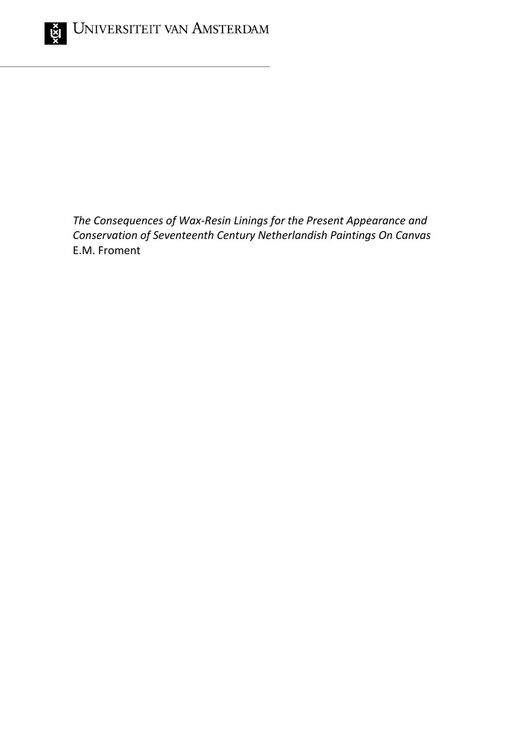

*The Consequences of Wax-Resin Linings for the Present Appearance and Conservation of Seventeenth Century Netherlandish Paintings On Canvas* E.M. Froment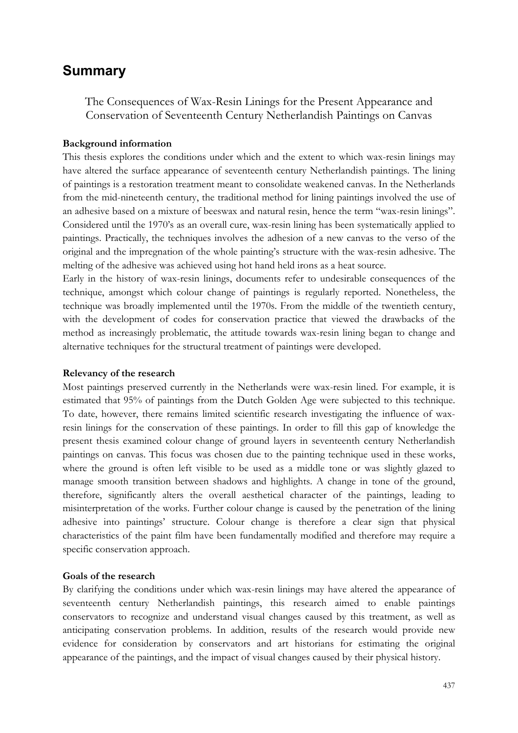# **Summary**

The Consequences of Wax-Resin Linings for the Present Appearance and Conservation of Seventeenth Century Netherlandish Paintings on Canvas

## **Background information**

This thesis explores the conditions under which and the extent to which wax-resin linings may have altered the surface appearance of seventeenth century Netherlandish paintings. The lining of paintings is a restoration treatment meant to consolidate weakened canvas. In the Netherlands from the mid-nineteenth century, the traditional method for lining paintings involved the use of an adhesive based on a mixture of beeswax and natural resin, hence the term "wax-resin linings". Considered until the 1970's as an overall cure, wax-resin lining has been systematically applied to paintings. Practically, the techniques involves the adhesion of a new canvas to the verso of the original and the impregnation of the whole painting's structure with the wax-resin adhesive. The melting of the adhesive was achieved using hot hand held irons as a heat source.

Early in the history of wax-resin linings, documents refer to undesirable consequences of the technique, amongst which colour change of paintings is regularly reported. Nonetheless, the technique was broadly implemented until the 1970s. From the middle of the twentieth century, with the development of codes for conservation practice that viewed the drawbacks of the method as increasingly problematic, the attitude towards wax-resin lining began to change and alternative techniques for the structural treatment of paintings were developed.

## **Relevancy of the research**

Most paintings preserved currently in the Netherlands were wax-resin lined. For example, it is estimated that 95% of paintings from the Dutch Golden Age were subjected to this technique. To date, however, there remains limited scientific research investigating the influence of waxresin linings for the conservation of these paintings. In order to fill this gap of knowledge the present thesis examined colour change of ground layers in seventeenth century Netherlandish paintings on canvas. This focus was chosen due to the painting technique used in these works, where the ground is often left visible to be used as a middle tone or was slightly glazed to manage smooth transition between shadows and highlights. A change in tone of the ground, therefore, significantly alters the overall aesthetical character of the paintings, leading to misinterpretation of the works. Further colour change is caused by the penetration of the lining adhesive into paintings' structure. Colour change is therefore a clear sign that physical characteristics of the paint film have been fundamentally modified and therefore may require a specific conservation approach.

## **Goals of the research**

By clarifying the conditions under which wax-resin linings may have altered the appearance of seventeenth century Netherlandish paintings, this research aimed to enable paintings conservators to recognize and understand visual changes caused by this treatment, as well as anticipating conservation problems. In addition, results of the research would provide new evidence for consideration by conservators and art historians for estimating the original appearance of the paintings, and the impact of visual changes caused by their physical history.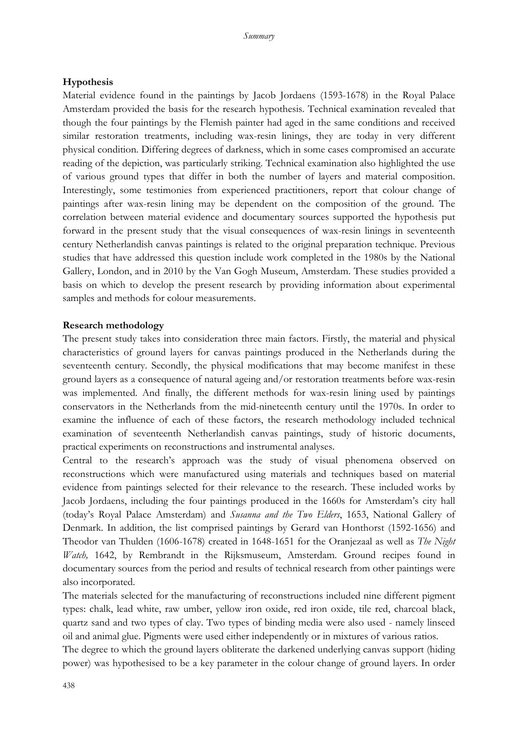## **Hypothesis**

Material evidence found in the paintings by Jacob Jordaens (1593-1678) in the Royal Palace Amsterdam provided the basis for the research hypothesis. Technical examination revealed that though the four paintings by the Flemish painter had aged in the same conditions and received similar restoration treatments, including wax-resin linings, they are today in very different physical condition. Differing degrees of darkness, which in some cases compromised an accurate reading of the depiction, was particularly striking. Technical examination also highlighted the use of various ground types that differ in both the number of layers and material composition. Interestingly, some testimonies from experienced practitioners, report that colour change of paintings after wax-resin lining may be dependent on the composition of the ground. The correlation between material evidence and documentary sources supported the hypothesis put forward in the present study that the visual consequences of wax-resin linings in seventeenth century Netherlandish canvas paintings is related to the original preparation technique. Previous studies that have addressed this question include work completed in the 1980s by the National Gallery, London, and in 2010 by the Van Gogh Museum, Amsterdam. These studies provided a basis on which to develop the present research by providing information about experimental samples and methods for colour measurements.

#### **Research methodology**

The present study takes into consideration three main factors. Firstly, the material and physical characteristics of ground layers for canvas paintings produced in the Netherlands during the seventeenth century. Secondly, the physical modifications that may become manifest in these ground layers as a consequence of natural ageing and/or restoration treatments before wax-resin was implemented. And finally, the different methods for wax-resin lining used by paintings conservators in the Netherlands from the mid-nineteenth century until the 1970s. In order to examine the influence of each of these factors, the research methodology included technical examination of seventeenth Netherlandish canvas paintings, study of historic documents, practical experiments on reconstructions and instrumental analyses.

Central to the research's approach was the study of visual phenomena observed on reconstructions which were manufactured using materials and techniques based on material evidence from paintings selected for their relevance to the research. These included works by Jacob Jordaens, including the four paintings produced in the 1660s for Amsterdam's city hall (today's Royal Palace Amsterdam) and *Susanna and the Two Elders*, 1653, National Gallery of Denmark. In addition, the list comprised paintings by Gerard van Honthorst (1592-1656) and Theodor van Thulden (1606-1678) created in 1648-1651 for the Oranjezaal as well as *The Night Watch,* 1642, by Rembrandt in the Rijksmuseum, Amsterdam. Ground recipes found in documentary sources from the period and results of technical research from other paintings were also incorporated.

The materials selected for the manufacturing of reconstructions included nine different pigment types: chalk, lead white, raw umber, yellow iron oxide, red iron oxide, tile red, charcoal black, quartz sand and two types of clay. Two types of binding media were also used - namely linseed oil and animal glue. Pigments were used either independently or in mixtures of various ratios.

The degree to which the ground layers obliterate the darkened underlying canvas support (hiding power) was hypothesised to be a key parameter in the colour change of ground layers. In order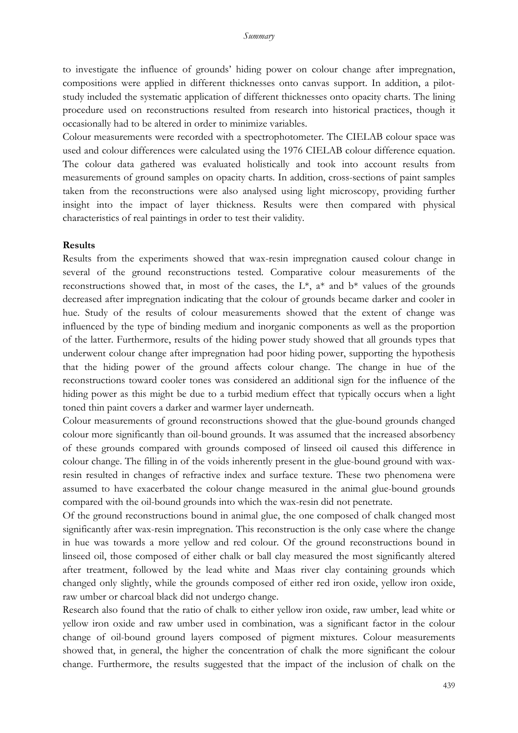to investigate the influence of grounds' hiding power on colour change after impregnation, compositions were applied in different thicknesses onto canvas support. In addition, a pilotstudy included the systematic application of different thicknesses onto opacity charts. The lining procedure used on reconstructions resulted from research into historical practices, though it occasionally had to be altered in order to minimize variables.

Colour measurements were recorded with a spectrophotometer. The CIELAB colour space was used and colour differences were calculated using the 1976 CIELAB colour difference equation. The colour data gathered was evaluated holistically and took into account results from measurements of ground samples on opacity charts. In addition, cross-sections of paint samples taken from the reconstructions were also analysed using light microscopy, providing further insight into the impact of layer thickness. Results were then compared with physical characteristics of real paintings in order to test their validity.

#### **Results**

Results from the experiments showed that wax-resin impregnation caused colour change in several of the ground reconstructions tested. Comparative colour measurements of the reconstructions showed that, in most of the cases, the  $L^*$ ,  $a^*$  and  $b^*$  values of the grounds decreased after impregnation indicating that the colour of grounds became darker and cooler in hue. Study of the results of colour measurements showed that the extent of change was influenced by the type of binding medium and inorganic components as well as the proportion of the latter. Furthermore, results of the hiding power study showed that all grounds types that underwent colour change after impregnation had poor hiding power, supporting the hypothesis that the hiding power of the ground affects colour change. The change in hue of the reconstructions toward cooler tones was considered an additional sign for the influence of the hiding power as this might be due to a turbid medium effect that typically occurs when a light toned thin paint covers a darker and warmer layer underneath.

Colour measurements of ground reconstructions showed that the glue-bound grounds changed colour more significantly than oil-bound grounds. It was assumed that the increased absorbency of these grounds compared with grounds composed of linseed oil caused this difference in colour change. The filling in of the voids inherently present in the glue-bound ground with waxresin resulted in changes of refractive index and surface texture. These two phenomena were assumed to have exacerbated the colour change measured in the animal glue-bound grounds compared with the oil-bound grounds into which the wax-resin did not penetrate.

Of the ground reconstructions bound in animal glue, the one composed of chalk changed most significantly after wax-resin impregnation. This reconstruction is the only case where the change in hue was towards a more yellow and red colour. Of the ground reconstructions bound in linseed oil, those composed of either chalk or ball clay measured the most significantly altered after treatment, followed by the lead white and Maas river clay containing grounds which changed only slightly, while the grounds composed of either red iron oxide, yellow iron oxide, raw umber or charcoal black did not undergo change.

Research also found that the ratio of chalk to either yellow iron oxide, raw umber, lead white or yellow iron oxide and raw umber used in combination, was a significant factor in the colour change of oil-bound ground layers composed of pigment mixtures. Colour measurements showed that, in general, the higher the concentration of chalk the more significant the colour change. Furthermore, the results suggested that the impact of the inclusion of chalk on the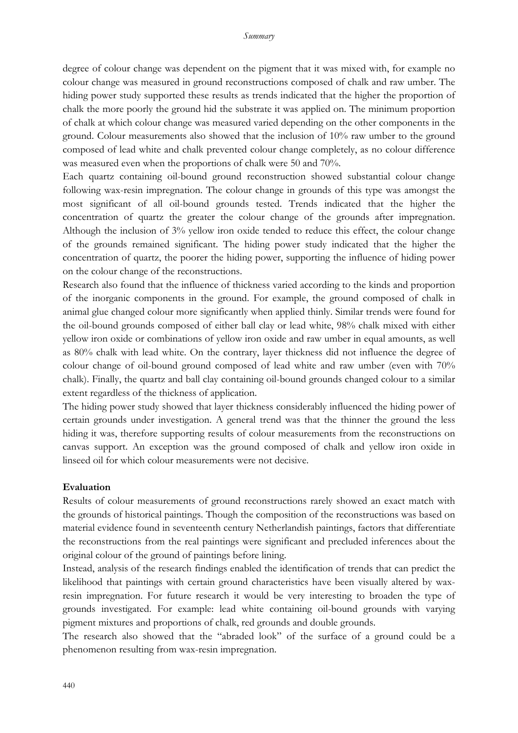degree of colour change was dependent on the pigment that it was mixed with, for example no colour change was measured in ground reconstructions composed of chalk and raw umber. The hiding power study supported these results as trends indicated that the higher the proportion of chalk the more poorly the ground hid the substrate it was applied on. The minimum proportion of chalk at which colour change was measured varied depending on the other components in the ground. Colour measurements also showed that the inclusion of 10% raw umber to the ground composed of lead white and chalk prevented colour change completely, as no colour difference was measured even when the proportions of chalk were 50 and 70%.

Each quartz containing oil-bound ground reconstruction showed substantial colour change following wax-resin impregnation. The colour change in grounds of this type was amongst the most significant of all oil-bound grounds tested. Trends indicated that the higher the concentration of quartz the greater the colour change of the grounds after impregnation. Although the inclusion of 3% yellow iron oxide tended to reduce this effect, the colour change of the grounds remained significant. The hiding power study indicated that the higher the concentration of quartz, the poorer the hiding power, supporting the influence of hiding power on the colour change of the reconstructions.

Research also found that the influence of thickness varied according to the kinds and proportion of the inorganic components in the ground. For example, the ground composed of chalk in animal glue changed colour more significantly when applied thinly. Similar trends were found for the oil-bound grounds composed of either ball clay or lead white, 98% chalk mixed with either yellow iron oxide or combinations of yellow iron oxide and raw umber in equal amounts, as well as 80% chalk with lead white. On the contrary, layer thickness did not influence the degree of colour change of oil-bound ground composed of lead white and raw umber (even with 70% chalk). Finally, the quartz and ball clay containing oil-bound grounds changed colour to a similar extent regardless of the thickness of application.

The hiding power study showed that layer thickness considerably influenced the hiding power of certain grounds under investigation. A general trend was that the thinner the ground the less hiding it was, therefore supporting results of colour measurements from the reconstructions on canvas support. An exception was the ground composed of chalk and yellow iron oxide in linseed oil for which colour measurements were not decisive.

#### **Evaluation**

Results of colour measurements of ground reconstructions rarely showed an exact match with the grounds of historical paintings. Though the composition of the reconstructions was based on material evidence found in seventeenth century Netherlandish paintings, factors that differentiate the reconstructions from the real paintings were significant and precluded inferences about the original colour of the ground of paintings before lining.

Instead, analysis of the research findings enabled the identification of trends that can predict the likelihood that paintings with certain ground characteristics have been visually altered by waxresin impregnation. For future research it would be very interesting to broaden the type of grounds investigated. For example: lead white containing oil-bound grounds with varying pigment mixtures and proportions of chalk, red grounds and double grounds.

The research also showed that the "abraded look" of the surface of a ground could be a phenomenon resulting from wax-resin impregnation.